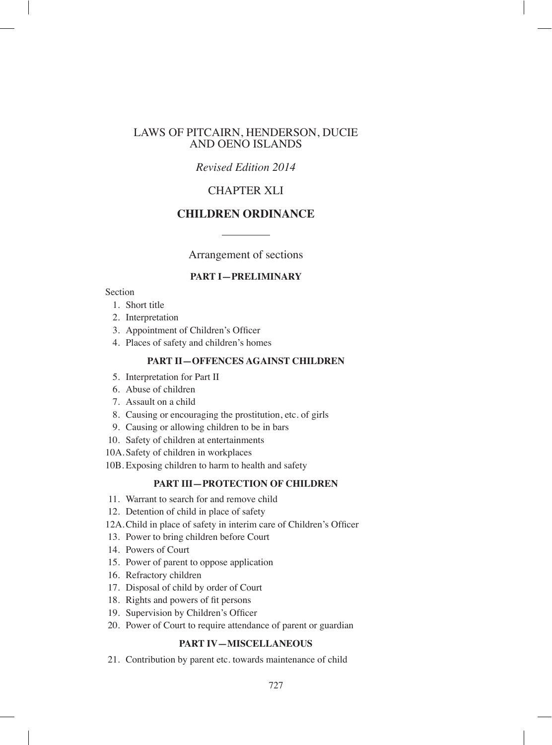## LAWS OF PITCAIRN, HENDERSON, DUCIE AND OENO ISLANDS

# *Revised Edition 2014*

# CHAPTER XLI

# **CHILDREN ORDINANCE**

Arrangement of sections

## **PART I—PRELIMINARY**

### Section

- 1. Short title
- 2. Interpretation
- 3. Appointment of Children's Officer
- 4. Places of safety and children's homes

## **PART II—OFFENCES AGAINST CHILDREN**

- 5. Interpretation for Part II
- 6. Abuse of children
- 7. Assault on a child
- 8. Causing or encouraging the prostitution, etc. of girls
- 9. Causing or allowing children to be in bars
- 10. Safety of children at entertainments
- 10A.Safety of children in workplaces
- 10B. Exposing children to harm to health and safety

## **PART III—PROTECTION OF CHILDREN**

- 11. Warrant to search for and remove child
- 12. Detention of child in place of safety
- 12A.Child in place of safety in interim care of Children's Officer
- 13. Power to bring children before Court
- 14. Powers of Court
- 15. Power of parent to oppose application
- 16. Refractory children
- 17. Disposal of child by order of Court
- 18. Rights and powers of fit persons
- 19. Supervision by Children's Officer
- 20. Power of Court to require attendance of parent or guardian

## **PART IV—MISCELLANEOUS**

21. Contribution by parent etc. towards maintenance of child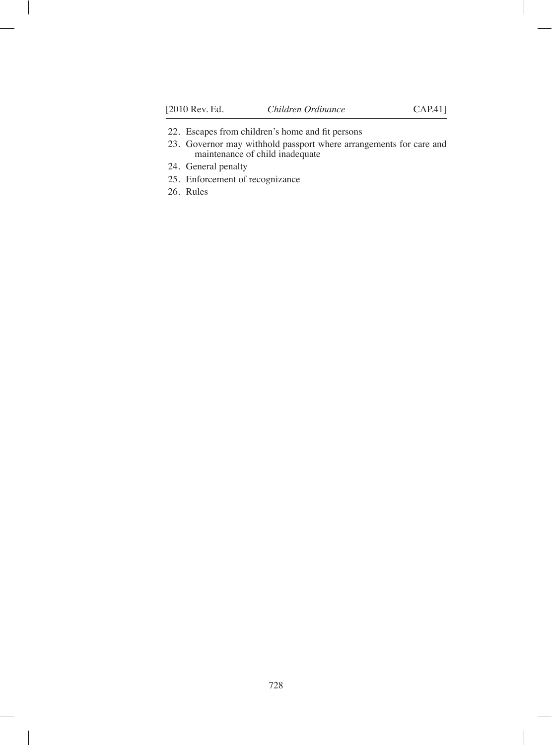- 22. Escapes from children's home and fit persons
- 23. Governor may withhold passport where arrangements for care and maintenance of child inadequate
- 24. General penalty
- 25. Enforcement of recognizance
- 26. Rules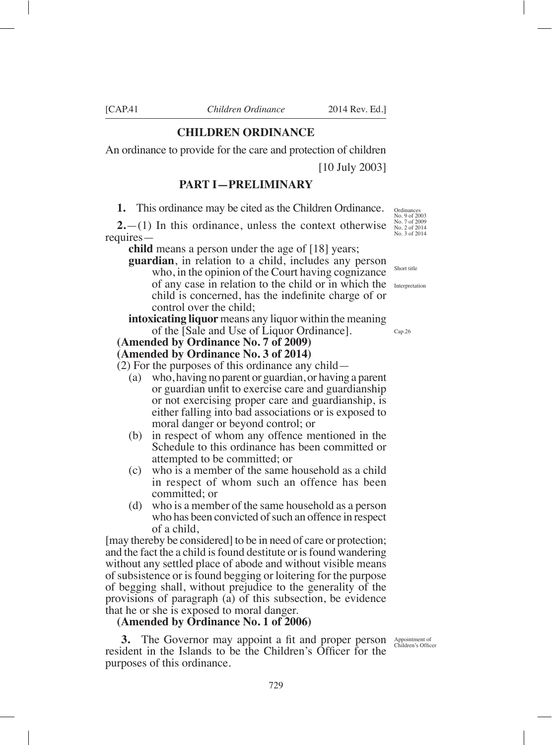## **CHILDREN ORDINANCE**

An ordinance to provide for the care and protection of children

[10 July 2003]

## **PART I—PRELIMINARY**

**1.** This ordinance may be cited as the Children Ordinance.

**2.**—(1) In this ordinance, unless the context otherwise requires—

**child** means a person under the age of [18] years;

**guardian**, in relation to a child, includes any person who, in the opinion of the Court having cognizance of any case in relation to the child or in which the Interpretation child is concerned, has the indefinite charge of or control over the child;

**intoxicating liquor** means any liquor within the meaning of the [Sale and Use of Liquor Ordinance].

**(Amended by Ordinance No. 7 of 2009)**

### **(Amended by Ordinance No. 3 of 2014)**

(2) For the purposes of this ordinance any child—

- (a) who, having no parent or guardian, or having a parent or guardian unfit to exercise care and guardianship or not exercising proper care and guardianship, is either falling into bad associations or is exposed to moral danger or beyond control; or
- (b) in respect of whom any offence mentioned in the Schedule to this ordinance has been committed or attempted to be committed; or
- (c) who is a member of the same household as a child in respect of whom such an offence has been committed; or
- (d) who is a member of the same household as a person who has been convicted of such an offence in respect of a child,

[may thereby be considered] to be in need of care or protection; and the fact the a child is found destitute or is found wandering without any settled place of abode and without visible means of subsistence or is found begging or loitering for the purpose of begging shall, without prejudice to the generality of the provisions of paragraph (a) of this subsection, be evidence that he or she is exposed to moral danger.

## **(Amended by Ordinance No. 1 of 2006)**

3. The Governor may appoint a fit and proper person Appointment of Children's Officer resident in the Islands to be the Children's Officer for the purposes of this ordinance.

Ordinances No. 9 of 2003 No. 7 of 2009 No. 2 of 2014 No. 3 of 2014

Short title

Cap.26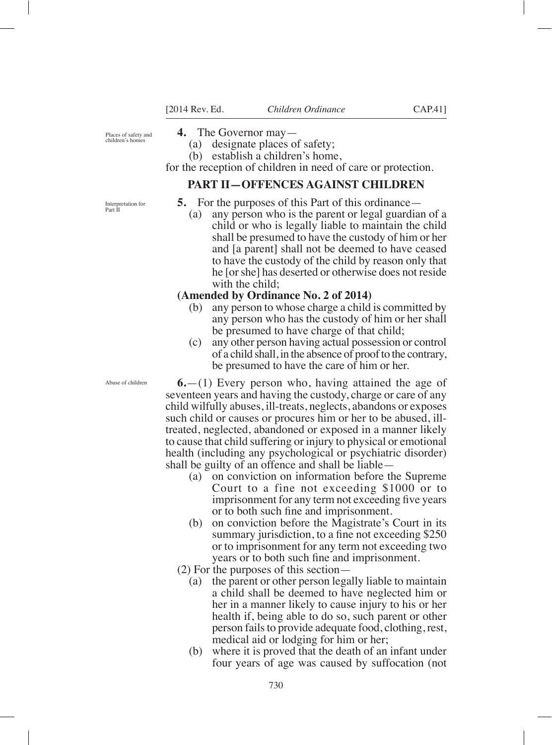Places of safety and children's homes

- **4.** The Governor may—
	- (a) designate places of safety;
	- (b) establish a children's home,

for the reception of children in need of care or protection.

### **PART II—OFFENCES AGAINST CHILDREN**

Interpretation for Part II

- **5.** For the purposes of this Part of this ordinance—
	- (a) any person who is the parent or legal guardian of a child or who is legally liable to maintain the child shall be presumed to have the custody of him or her and [a parent] shall not be deemed to have ceased to have the custody of the child by reason only that he [or she] has deserted or otherwise does not reside with the child:

### **(Amended by Ordinance No. 2 of 2014)**

- (b) any person to whose charge a child is committed by any person who has the custody of him or her shall be presumed to have charge of that child;
- (c) any other person having actual possession or control of a child shall, in the absence of proof to the contrary, be presumed to have the care of him or her.

**6.**—(1) Every person who, having attained the age of seventeen years and having the custody, charge or care of any child wilfully abuses, ill-treats, neglects, abandons or exposes such child or causes or procures him or her to be abused, illtreated, neglected, abandoned or exposed in a manner likely to cause that child suffering or injury to physical or emotional health (including any psychological or psychiatric disorder) shall be guilty of an offence and shall be liable—

- (a) on conviction on information before the Supreme Court to a fine not exceeding \$1000 or to imprisonment for any term not exceeding five years or to both such fine and imprisonment.
- (b) on conviction before the Magistrate's Court in its summary jurisdiction, to a fine not exceeding  $$250$ or to imprisonment for any term not exceeding two years or to both such fine and imprisonment.
- (2) For the purposes of this section—
	- (a) the parent or other person legally liable to maintain a child shall be deemed to have neglected him or her in a manner likely to cause injury to his or her health if, being able to do so, such parent or other person fails to provide adequate food, clothing, rest, medical aid or lodging for him or her;
	- (b) where it is proved that the death of an infant under four years of age was caused by suffocation (not

Abuse of children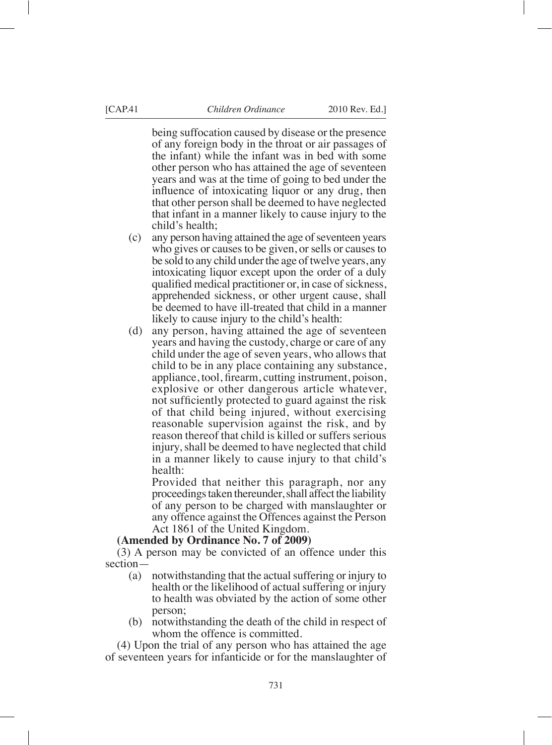being suffocation caused by disease or the presence of any foreign body in the throat or air passages of the infant) while the infant was in bed with some other person who has attained the age of seventeen years and was at the time of going to bed under the influence of intoxicating liquor or any drug, then that other person shall be deemed to have neglected that infant in a manner likely to cause injury to the child's health;

- (c) any person having attained the age of seventeen years who gives or causes to be given, or sells or causes to be sold to any child under the age of twelve years, any intoxicating liquor except upon the order of a duly qualified medical practitioner or, in case of sickness, apprehended sickness, or other urgent cause, shall be deemed to have ill-treated that child in a manner likely to cause injury to the child's health:
- (d) any person, having attained the age of seventeen years and having the custody, charge or care of any child under the age of seven years, who allows that child to be in any place containing any substance, appliance, tool, firearm, cutting instrument, poison, explosive or other dangerous article whatever, not sufficiently protected to guard against the risk of that child being injured, without exercising reasonable supervision against the risk, and by reason thereof that child is killed or suffers serious injury, shall be deemed to have neglected that child in a manner likely to cause injury to that child's health:

Provided that neither this paragraph, nor any proceedings taken thereunder, shall affect the liability of any person to be charged with manslaughter or any offence against the Offences against the Person Act 1861 of the United Kingdom.

### **(Amended by Ordinance No. 7 of 2009)**

(3) A person may be convicted of an offence under this section—

- (a) notwithstanding that the actual suffering or injury to health or the likelihood of actual suffering or injury to health was obviated by the action of some other person;
- (b) notwithstanding the death of the child in respect of whom the offence is committed.

(4) Upon the trial of any person who has attained the age of seventeen years for infanticide or for the manslaughter of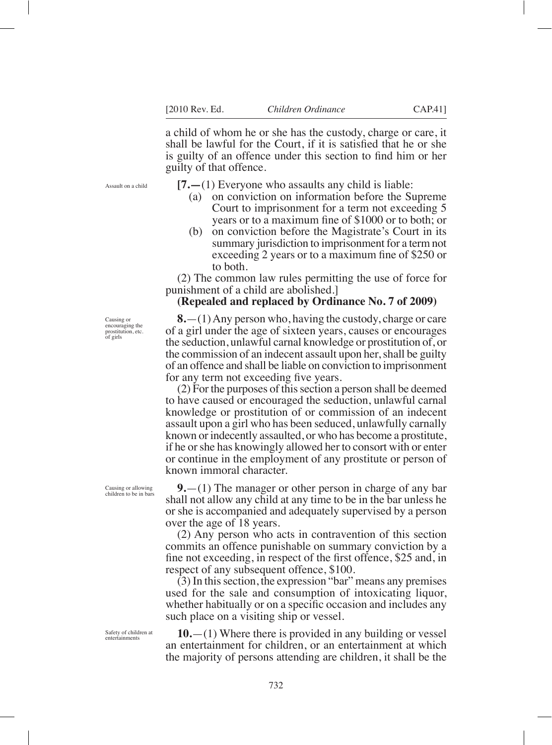a child of whom he or she has the custody, charge or care, it shall be lawful for the Court, if it is satisfied that he or she is guilty of an offence under this section to find him or her guilty of that offence.

Assault on a child

**[7.—**(1) Everyone who assaults any child is liable:

- (a) on conviction on information before the Supreme Court to imprisonment for a term not exceeding 5 vears or to a maximum fine of  $$1000$  or to both: or
- (b) on conviction before the Magistrate's Court in its summary jurisdiction to imprisonment for a term not exceeding 2 years or to a maximum fine of  $$250$  or to both.

(2) The common law rules permitting the use of force for punishment of a child are abolished.]

### **(Repealed and replaced by Ordinance No. 7 of 2009)**

**8.**—(1) Any person who, having the custody, charge or care of a girl under the age of sixteen years, causes or encourages the seduction, unlawful carnal knowledge or prostitution of, or the commission of an indecent assault upon her, shall be guilty of an offence and shall be liable on conviction to imprisonment for any term not exceeding five years.

(2) For the purposes of this section a person shall be deemed to have caused or encouraged the seduction, unlawful carnal knowledge or prostitution of or commission of an indecent assault upon a girl who has been seduced, unlawfully carnally known or indecently assaulted, or who has become a prostitute, if he or she has knowingly allowed her to consort with or enter or continue in the employment of any prostitute or person of known immoral character.

**9.**—(1) The manager or other person in charge of any bar shall not allow any child at any time to be in the bar unless he or she is accompanied and adequately supervised by a person over the age of 18 years.

(2) Any person who acts in contravention of this section commits an offence punishable on summary conviction by a fine not exceeding, in respect of the first offence,  $$25$  and, in respect of any subsequent offence, \$100.

(3) In this section, the expression "bar" means any premises used for the sale and consumption of intoxicating liquor, whether habitually or on a specific occasion and includes any such place on a visiting ship or vessel.

Safety of children at entertainments

Causing or allowing children to be in bars

**10.**—(1) Where there is provided in any building or vessel an entertainment for children, or an entertainment at which the majority of persons attending are children, it shall be the

Causing or encouraging the prostitution, etc. of girls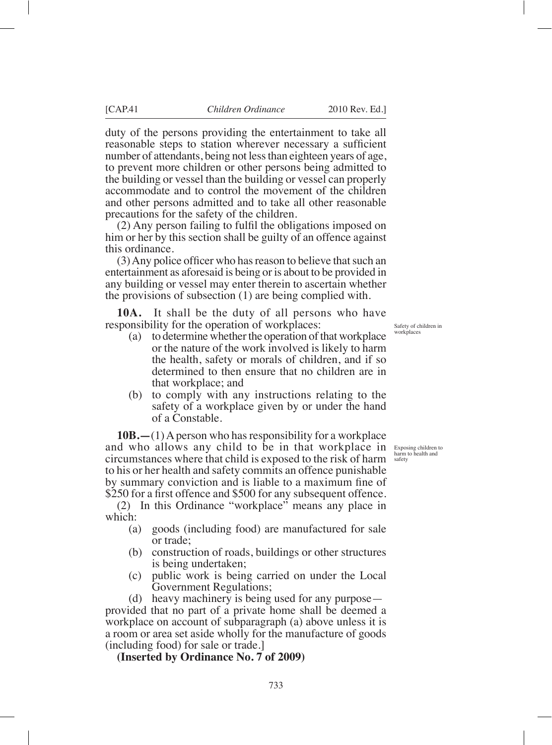duty of the persons providing the entertainment to take all reasonable steps to station wherever necessary a sufficient number of attendants, being not less than eighteen years of age, to prevent more children or other persons being admitted to the building or vessel than the building or vessel can properly accommodate and to control the movement of the children and other persons admitted and to take all other reasonable precautions for the safety of the children.

 $(2)$  Any person failing to fulfil the obligations imposed on him or her by this section shall be guilty of an offence against this ordinance.

 $(3)$  Any police officer who has reason to believe that such an entertainment as aforesaid is being or is about to be provided in any building or vessel may enter therein to ascertain whether the provisions of subsection (1) are being complied with.

**10A.** It shall be the duty of all persons who have responsibility for the operation of workplaces:

- (a) to determine whether the operation of that workplace or the nature of the work involved is likely to harm the health, safety or morals of children, and if so determined to then ensure that no children are in that workplace; and
- (b) to comply with any instructions relating to the safety of a workplace given by or under the hand of a Constable.

**10B.—**(1) A person who has responsibility for a workplace and who allows any child to be in that workplace in Exposing children to health and circumstances where that child is exposed to the risk of harm safetyto his or her health and safety commits an offence punishable by summary conviction and is liable to a maximum fine of \$250 for a first offence and \$500 for any subsequent offence.

(2) In this Ordinance "workplace" means any place in which:

- (a) goods (including food) are manufactured for sale or trade;
- (b) construction of roads, buildings or other structures is being undertaken;
- (c) public work is being carried on under the Local Government Regulations;
- (d) heavy machinery is being used for any purpose—

provided that no part of a private home shall be deemed a workplace on account of subparagraph (a) above unless it is a room or area set aside wholly for the manufacture of goods (including food) for sale or trade.]

**(Inserted by Ordinance No. 7 of 2009)**

Safety of children in workplaces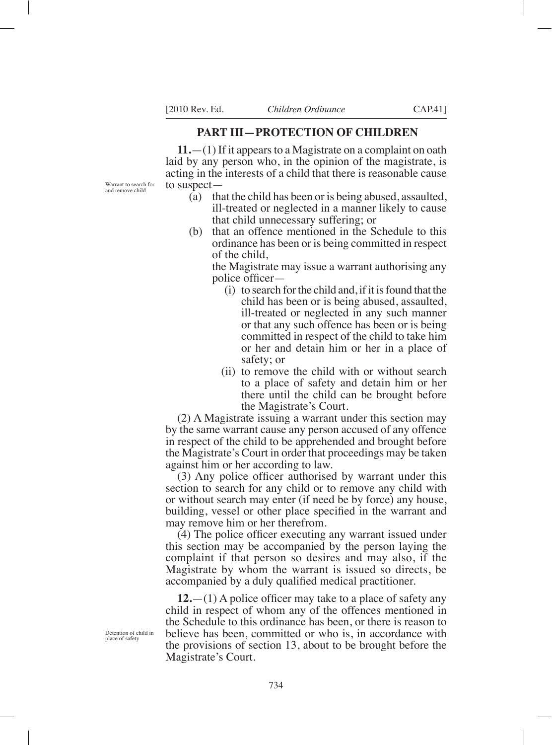### **PART III—PROTECTION OF CHILDREN**

**11.**—(1) If it appears to a Magistrate on a complaint on oath laid by any person who, in the opinion of the magistrate, is acting in the interests of a child that there is reasonable cause to suspect—

Warrant to search for and remove child

- (a) that the child has been or is being abused, assaulted, ill-treated or neglected in a manner likely to cause that child unnecessary suffering; or
- (b) that an offence mentioned in the Schedule to this ordinance has been or is being committed in respect of the child,

the Magistrate may issue a warrant authorising any police officer $-$ 

- (i) to search for the child and, if it is found that the child has been or is being abused, assaulted, ill-treated or neglected in any such manner or that any such offence has been or is being committed in respect of the child to take him or her and detain him or her in a place of safety; or
- (ii) to remove the child with or without search to a place of safety and detain him or her there until the child can be brought before the Magistrate's Court.

(2) A Magistrate issuing a warrant under this section may by the same warrant cause any person accused of any offence in respect of the child to be apprehended and brought before the Magistrate's Court in order that proceedings may be taken against him or her according to law.

 $(3)$  Any police officer authorised by warrant under this section to search for any child or to remove any child with or without search may enter (if need be by force) any house, building, vessel or other place specified in the warrant and may remove him or her therefrom.

 $(4)$  The police officer executing any warrant issued under this section may be accompanied by the person laying the complaint if that person so desires and may also, if the Magistrate by whom the warrant is issued so directs, be accompanied by a duly qualified medical practitioner.

 $12$ .—(1) A police officer may take to a place of safety any child in respect of whom any of the offences mentioned in the Schedule to this ordinance has been, or there is reason to believe has been, committed or who is, in accordance with the provisions of section 13, about to be brought before the Magistrate's Court.

Detention of child in place of safety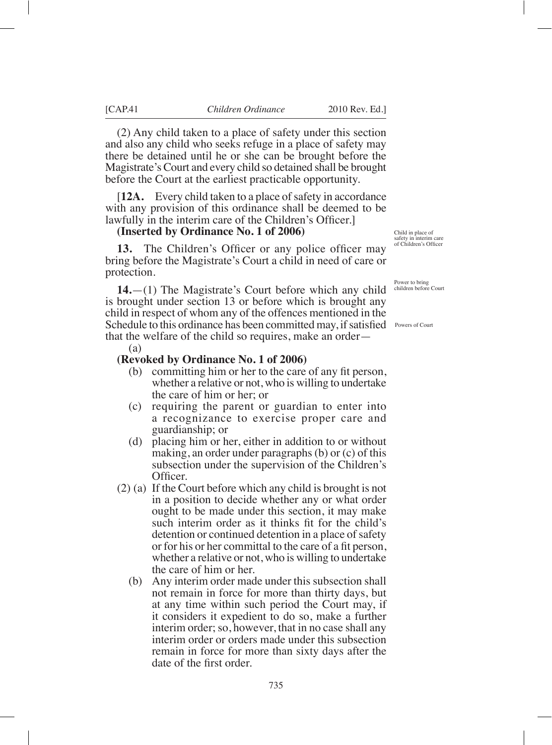(2) Any child taken to a place of safety under this section and also any child who seeks refuge in a place of safety may there be detained until he or she can be brought before the Magistrate's Court and every child so detained shall be brought before the Court at the earliest practicable opportunity.

[**12A.** Every child taken to a place of safety in accordance with any provision of this ordinance shall be deemed to be lawfully in the interim care of the Children's Officer.

### **(Inserted by Ordinance No. 1 of 2006)**

13. The Children's Officer or any police officer may bring before the Magistrate's Court a child in need of care or protection.

**14.**—(1) The Magistrate's Court before which any child is brought under section 13 or before which is brought any child in respect of whom any of the offences mentioned in the Schedule to this ordinance has been committed may, if satisfied Powers of Court that the welfare of the child so requires, make an order—

Child in place of safety in interim care<br>of Children's Officer

Power to bring children before Court

(a)

## **(Revoked by Ordinance No. 1 of 2006)**

- (b) committing him or her to the care of any fit person, whether a relative or not, who is willing to undertake the care of him or her; or
- (c) requiring the parent or guardian to enter into a recognizance to exercise proper care and guardianship; or
- (d) placing him or her, either in addition to or without making, an order under paragraphs (b) or (c) of this subsection under the supervision of the Children's Officer.
- (2) (a) If the Court before which any child is brought is not in a position to decide whether any or what order ought to be made under this section, it may make such interim order as it thinks fit for the child's detention or continued detention in a place of safety or for his or her committal to the care of a fit person, whether a relative or not, who is willing to undertake the care of him or her.
	- (b) Any interim order made under this subsection shall not remain in force for more than thirty days, but at any time within such period the Court may, if it considers it expedient to do so, make a further interim order; so, however, that in no case shall any interim order or orders made under this subsection remain in force for more than sixty days after the date of the first order.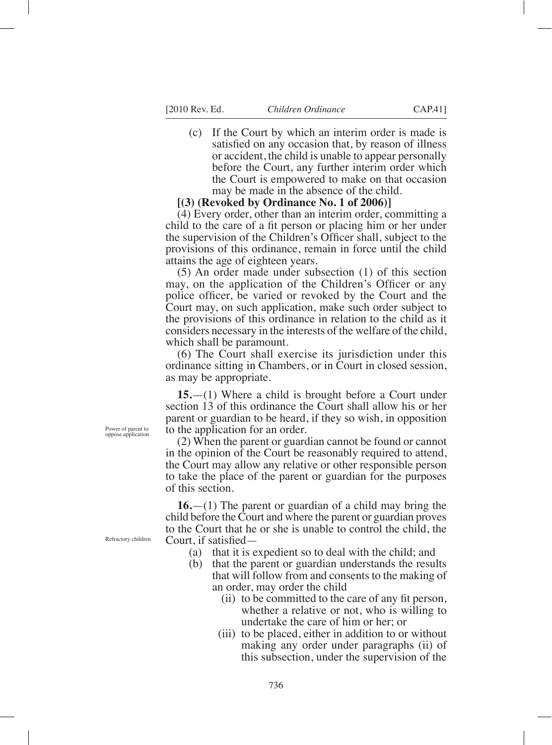(c) If the Court by which an interim order is made is satisfied on any occasion that, by reason of illness or accident, the child is unable to appear personally before the Court, any further interim order which the Court is empowered to make on that occasion may be made in the absence of the child.

### **[(3) (Revoked by Ordinance No. 1 of 2006)]**

(4) Every order, other than an interim order, committing a child to the care of a fit person or placing him or her under the supervision of the Children's Officer shall, subject to the provisions of this ordinance, remain in force until the child attains the age of eighteen years.

(5) An order made under subsection (1) of this section may, on the application of the Children's Officer or any police officer, be varied or revoked by the Court and the Court may, on such application, make such order subject to the provisions of this ordinance in relation to the child as it considers necessary in the interests of the welfare of the child, which shall be paramount.

(6) The Court shall exercise its jurisdiction under this ordinance sitting in Chambers, or in Court in closed session, as may be appropriate.

**15.**—(1) Where a child is brought before a Court under section 13 of this ordinance the Court shall allow his or her parent or guardian to be heard, if they so wish, in opposition to the application for an order.

(2) When the parent or guardian cannot be found or cannot in the opinion of the Court be reasonably required to attend, the Court may allow any relative or other responsible person to take the place of the parent or guardian for the purposes of this section.

**16.**—(1) The parent or guardian of a child may bring the child before the Court and where the parent or guardian proves to the Court that he or she is unable to control the child, the Court, if satisfied—

- (a) that it is expedient so to deal with the child; and
- (b) that the parent or guardian understands the results that will follow from and consents to the making of an order, may order the child
	- $(ii)$  to be committed to the care of any fit person, whether a relative or not, who is willing to undertake the care of him or her; or
	- (iii) to be placed, either in addition to or without making any order under paragraphs (ii) of this subsection, under the supervision of the

Power of parent to oppose application

Refractory children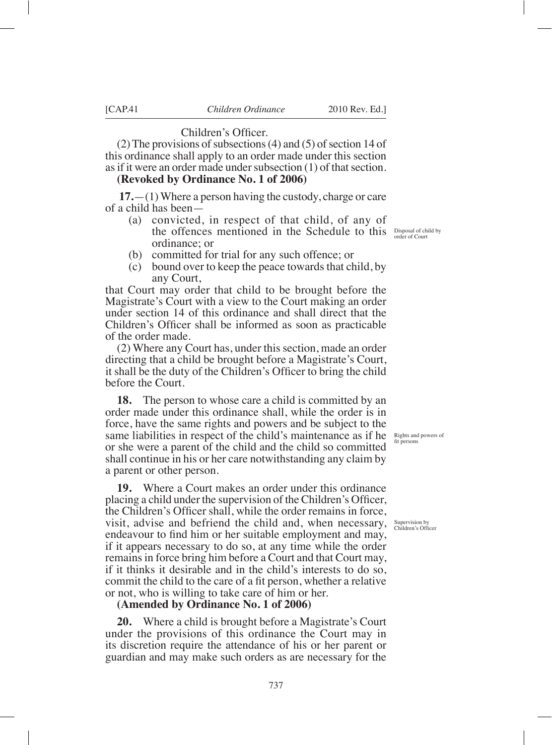### Children's Officer.

(2) The provisions of subsections (4) and (5) of section 14 of this ordinance shall apply to an order made under this section as if it were an order made under subsection (1) of that section.

### **(Revoked by Ordinance No. 1 of 2006)**

 **17.**—(1) Where a person having the custody, charge or care of a child has been—

- (a) convicted, in respect of that child, of any of the offences mentioned in the Schedule to this  $\frac{Disposed of child by}{order of Court}$ ordinance; or
- (b) committed for trial for any such offence; or
- (c) bound over to keep the peace towards that child, by any Court,

that Court may order that child to be brought before the Magistrate's Court with a view to the Court making an order under section 14 of this ordinance and shall direct that the Children's Officer shall be informed as soon as practicable of the order made.

(2) Where any Court has, under this section, made an order directing that a child be brought before a Magistrate's Court, it shall be the duty of the Children's Officer to bring the child before the Court.

**18.** The person to whose care a child is committed by an order made under this ordinance shall, while the order is in force, have the same rights and powers and be subject to the same liabilities in respect of the child's maintenance as if he Rights and powers of or she were a parent of the child and the child so committed shall continue in his or her care notwithstanding any claim by a parent or other person.

**19.** Where a Court makes an order under this ordinance placing a child under the supervision of the Children's Officer, the Children's Officer shall, while the order remains in force, visit, advise and befriend the child and, when necessary, Supervision by Children's Officer endeavour to find him or her suitable employment and may, if it appears necessary to do so, at any time while the order remains in force bring him before a Court and that Court may, if it thinks it desirable and in the child's interests to do so, commit the child to the care of a fit person, whether a relative or not, who is willing to take care of him or her.

### **(Amended by Ordinance No. 1 of 2006)**

**20.** Where a child is brought before a Magistrate's Court under the provisions of this ordinance the Court may in its discretion require the attendance of his or her parent or guardian and may make such orders as are necessary for the

order of Court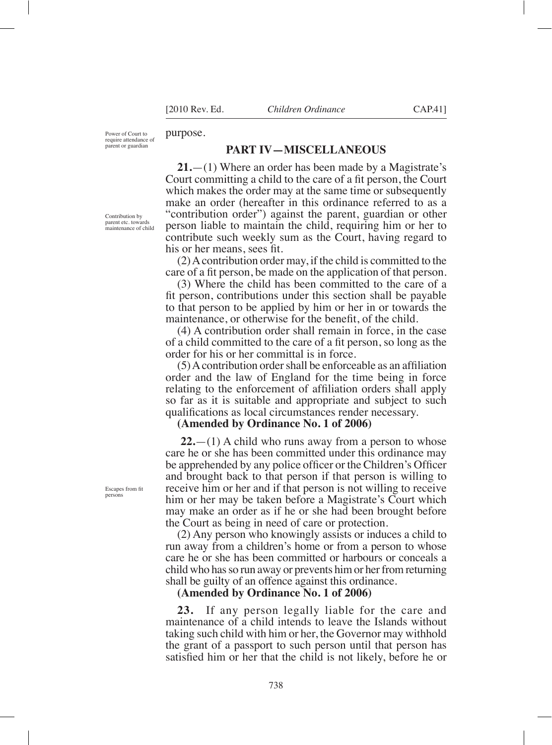purpose.

Power of Court to require attendance of parent or guardian

## **PART IV—MISCELLANEOUS**

**21.**—(1) Where an order has been made by a Magistrate's Court committing a child to the care of a fit person, the Court which makes the order may at the same time or subsequently make an order (hereafter in this ordinance referred to as a "contribution order") against the parent, guardian or other person liable to maintain the child, requiring him or her to contribute such weekly sum as the Court, having regard to his or her means, sees fit.

(2) A contribution order may, if the child is committed to the care of a fit person, be made on the application of that person.

(3) Where the child has been committed to the care of a fit person, contributions under this section shall be payable to that person to be applied by him or her in or towards the maintenance, or otherwise for the benefit, of the child.

(4) A contribution order shall remain in force, in the case of a child committed to the care of a fit person, so long as the order for his or her committal is in force.

 $(5)$  A contribution order shall be enforceable as an affiliation order and the law of England for the time being in force relating to the enforcement of affiliation orders shall apply so far as it is suitable and appropriate and subject to such qualifications as local circumstances render necessary.

## **(Amended by Ordinance No. 1 of 2006)**

 **22.**—(1) A child who runs away from a person to whose care he or she has been committed under this ordinance may be apprehended by any police officer or the Children's Officer and brought back to that person if that person is willing to receive him or her and if that person is not willing to receive him or her may be taken before a Magistrate's Court which may make an order as if he or she had been brought before the Court as being in need of care or protection.

(2) Any person who knowingly assists or induces a child to run away from a children's home or from a person to whose care he or she has been committed or harbours or conceals a child who has so run away or prevents him or her from returning shall be guilty of an offence against this ordinance.

### **(Amended by Ordinance No. 1 of 2006)**

**23.** If any person legally liable for the care and maintenance of a child intends to leave the Islands without taking such child with him or her, the Governor may withhold the grant of a passport to such person until that person has satisfied him or her that the child is not likely, before he or

Contribution by parent etc. towards maintenance of child

Escapes from fit<br>persons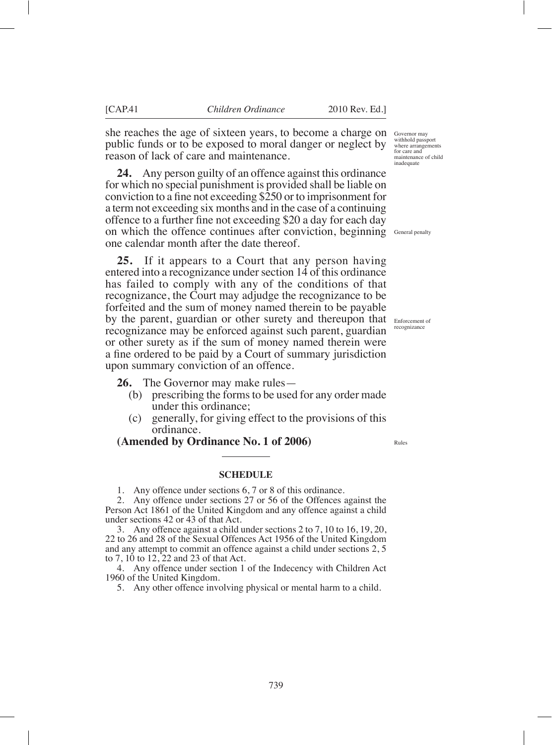she reaches the age of sixteen years, to become a charge on Governor may public funds or to be exposed to moral danger or neglect by reason of lack of care and maintenance.

**24.** Any person guilty of an offence against this ordinance for which no special punishment is provided shall be liable on conviction to a fine not exceeding  $\overline{\frac{250}{9}}$  or to imprisonment for a term not exceeding six months and in the case of a continuing offence to a further fine not exceeding  $$20$  a day for each day on which the offence continues after conviction, beginning General penalty one calendar month after the date thereof.

**25.** If it appears to a Court that any person having entered into a recognizance under section 14 of this ordinance has failed to comply with any of the conditions of that recognizance, the Court may adjudge the recognizance to be forfeited and the sum of money named therein to be payable by the parent, guardian or other surety and thereupon that Enforcement of recognizance may be enforced against such parent, guardian or other surety as if the sum of money named therein were a fine ordered to be paid by a Court of summary jurisdiction upon summary conviction of an offence.

**26.** The Governor may make rules—

- (b) prescribing the forms to be used for any order made under this ordinance;
- (c) generally, for giving effect to the provisions of this ordinance.

### **(Amended by Ordinance No. 1 of 2006)**

#### **SCHEDULE**

1. Any offence under sections 6, 7 or 8 of this ordinance.

2. Any offence under sections 27 or 56 of the Offences against the Person Act 1861 of the United Kingdom and any offence against a child under sections 42 or 43 of that Act.

3. Any offence against a child under sections 2 to 7, 10 to 16, 19, 20, 22 to 26 and 28 of the Sexual Offences Act 1956 of the United Kingdom and any attempt to commit an offence against a child under sections 2, 5 to 7, 10 to 12, 22 and 23 of that Act.

4. Any offence under section 1 of the Indecency with Children Act 1960 of the United Kingdom.

5. Any other offence involving physical or mental harm to a child.

withhold passport where arrangements for care and maintenance of child inadequate

recognizance

Rules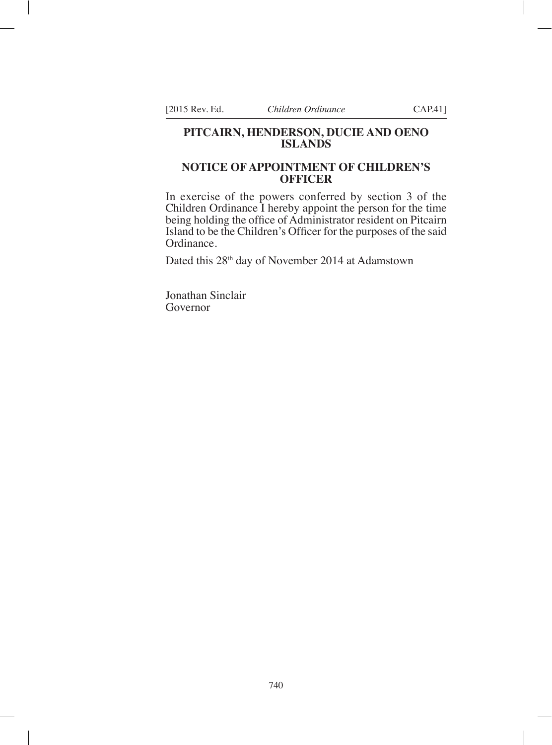## **PITCAIRN, HENDERSON, DUCIE AND OENO ISLANDS**

## **NOTICE OF APPOINTMENT OF CHILDREN'S OFFICER**

In exercise of the powers conferred by section 3 of the Children Ordinance I hereby appoint the person for the time being holding the office of Administrator resident on Pitcairn Island to be the Children's Officer for the purposes of the said Ordinance.

Dated this 28<sup>th</sup> day of November 2014 at Adamstown

Jonathan Sinclair Governor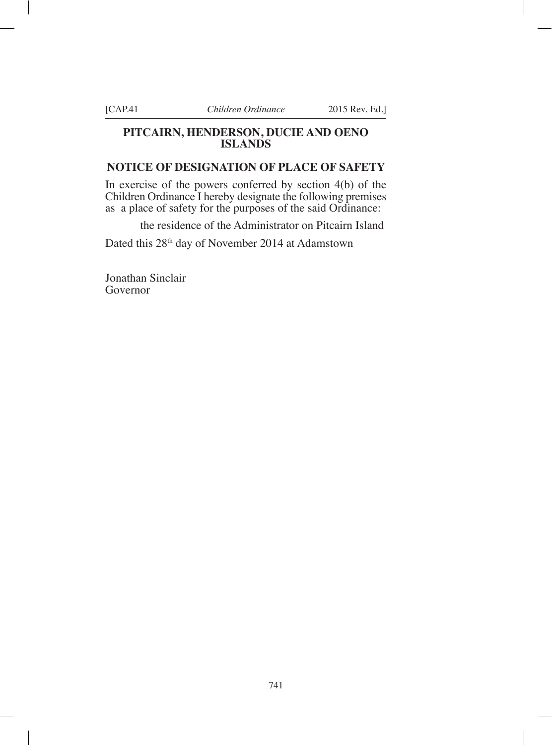## **PITCAIRN, HENDERSON, DUCIE AND OENO ISLANDS**

## **NOTICE OF DESIGNATION OF PLACE OF SAFETY**

In exercise of the powers conferred by section 4(b) of the Children Ordinance I hereby designate the following premises as a place of safety for the purposes of the said Ordinance:

the residence of the Administrator on Pitcairn Island

Dated this 28<sup>th</sup> day of November 2014 at Adamstown

Jonathan Sinclair Governor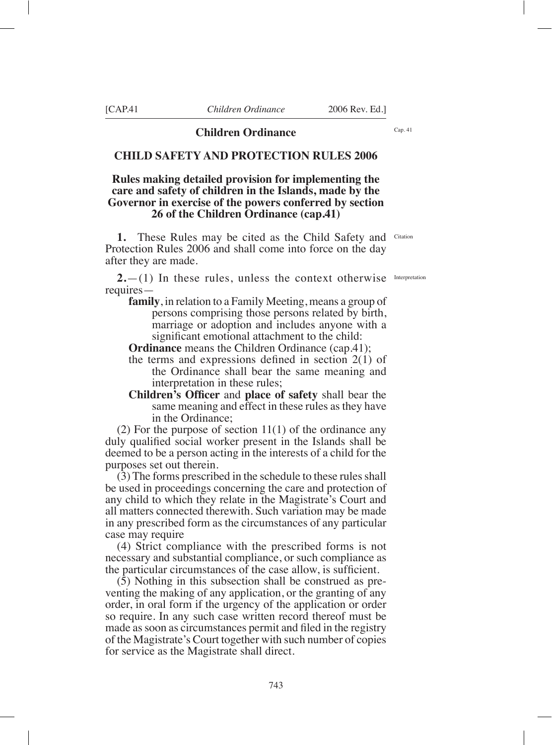### **Children Ordinance**

## **CHILD SAFETY AND PROTECTION RULES 2006**

## **Rules making detailed provision for implementing the care and safety of children in the Islands, made by the Governor in exercise of the powers conferred by section 26 of the Children Ordinance (cap.41)**

1. These Rules may be cited as the Child Safety and Citation Protection Rules 2006 and shall come into force on the day after they are made.

**2.** - (1) In these rules, unless the context otherwise Interpretation requires—

**family**, in relation to a Family Meeting, means a group of persons comprising those persons related by birth, marriage or adoption and includes anyone with a significant emotional attachment to the child:

**Ordinance** means the Children Ordinance (cap.41);

- the terms and expressions defined in section  $2(1)$  of the Ordinance shall bear the same meaning and interpretation in these rules;
- **Children's Officer and place of safety** shall bear the same meaning and effect in these rules as they have in the Ordinance;

(2) For the purpose of section 11(1) of the ordinance any duly qualified social worker present in the Islands shall be deemed to be a person acting in the interests of a child for the purposes set out therein.

(3) The forms prescribed in the schedule to these rules shall be used in proceedings concerning the care and protection of any child to which they relate in the Magistrate's Court and all matters connected therewith. Such variation may be made in any prescribed form as the circumstances of any particular case may require

(4) Strict compliance with the prescribed forms is not necessary and substantial compliance, or such compliance as the particular circumstances of the case allow, is sufficient.

(5) Nothing in this subsection shall be construed as preventing the making of any application, or the granting of any order, in oral form if the urgency of the application or order so require. In any such case written record thereof must be made as soon as circumstances permit and filed in the registry of the Magistrate's Court together with such number of copies for service as the Magistrate shall direct.

Cap. 41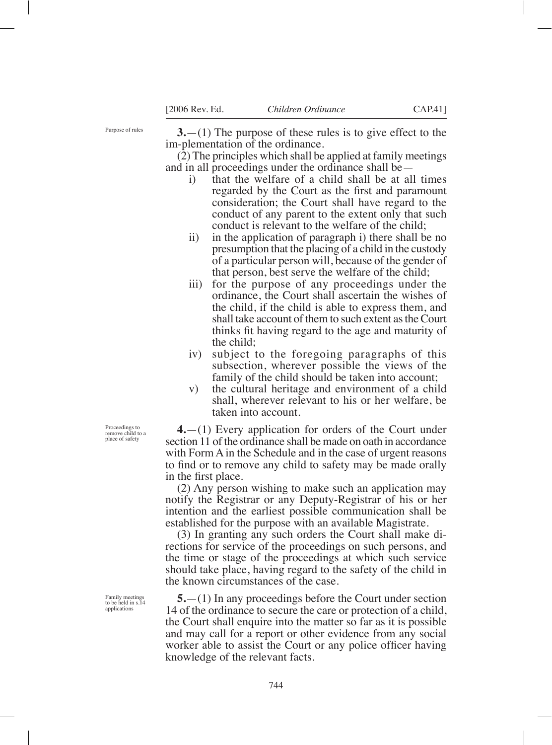Purpose of rules

**3.**—(1) The purpose of these rules is to give effect to the im-plementation of the ordinance.

(2) The principles which shall be applied at family meetings and in all proceedings under the ordinance shall be—<br>i) that the welfare of a child shall be at all

- that the welfare of a child shall be at all times regarded by the Court as the first and paramount consideration; the Court shall have regard to the conduct of any parent to the extent only that such conduct is relevant to the welfare of the child;
- ii) in the application of paragraph i) there shall be no presumption that the placing of a child in the custody of a particular person will, because of the gender of that person, best serve the welfare of the child;
- iii) for the purpose of any proceedings under the ordinance, the Court shall ascertain the wishes of the child, if the child is able to express them, and shall take account of them to such extent as the Court thinks fit having regard to the age and maturity of the child;
- iv) subject to the foregoing paragraphs of this subsection, wherever possible the views of the family of the child should be taken into account;
- v) the cultural heritage and environment of a child shall, wherever relevant to his or her welfare, be taken into account.

**4.**—(1) Every application for orders of the Court under section 11 of the ordinance shall be made on oath in accordance with Form A in the Schedule and in the case of urgent reasons to find or to remove any child to safety may be made orally in the first place.

(2) Any person wishing to make such an application may notify the Registrar or any Deputy-Registrar of his or her intention and the earliest possible communication shall be established for the purpose with an available Magistrate.

(3) In granting any such orders the Court shall make directions for service of the proceedings on such persons, and the time or stage of the proceedings at which such service should take place, having regard to the safety of the child in the known circumstances of the case.

**5.**—(1) In any proceedings before the Court under section 14 of the ordinance to secure the care or protection of a child, the Court shall enquire into the matter so far as it is possible and may call for a report or other evidence from any social worker able to assist the Court or any police officer having knowledge of the relevant facts.

Proceedings to remove child to a place of safety

Family meetings to be held in s.14 applications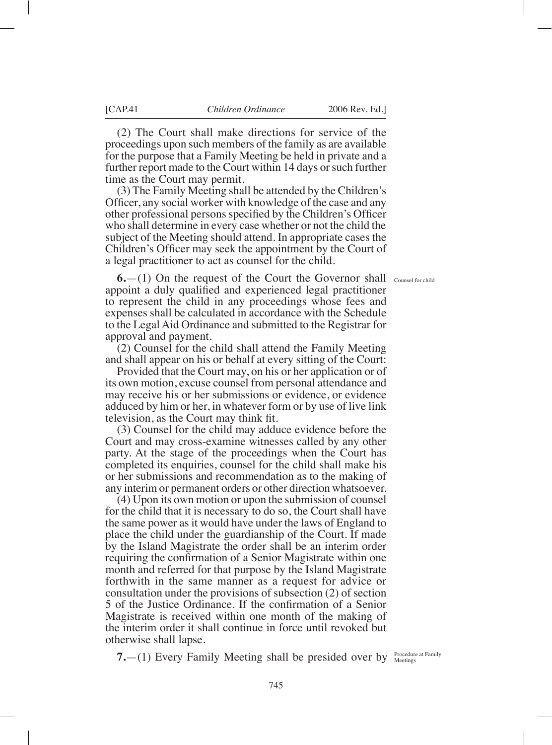(2) The Court shall make directions for service of the proceedings upon such members of the family as are available for the purpose that a Family Meeting be held in private and a further report made to the Court within 14 days or such further time as the Court may permit.

(3) The Family Meeting shall be attended by the Children's Officer, any social worker with knowledge of the case and any other professional persons specified by the Children's Officer who shall determine in every case whether or not the child the subject of the Meeting should attend. In appropriate cases the Children's Officer may seek the appointment by the Court of a legal practitioner to act as counsel for the child.

**6.**—(1) On the request of the Court the Governor shall counsel for child appoint a duly qualified and experienced legal practitioner to represent the child in any proceedings whose fees and expenses shall be calculated in accordance with the Schedule to the Legal Aid Ordinance and submitted to the Registrar for approval and payment.

(2) Counsel for the child shall attend the Family Meeting and shall appear on his or behalf at every sitting of the Court:

Provided that the Court may, on his or her application or of its own motion, excuse counsel from personal attendance and may receive his or her submissions or evidence, or evidence adduced by him or her, in whatever form or by use of live link television, as the Court may think fit.

(3) Counsel for the child may adduce evidence before the Court and may cross-examine witnesses called by any other party. At the stage of the proceedings when the Court has completed its enquiries, counsel for the child shall make his or her submissions and recommendation as to the making of any interim or permanent orders or other direction whatsoever.

(4) Upon its own motion or upon the submission of counsel for the child that it is necessary to do so, the Court shall have the same power as it would have under the laws of England to place the child under the guardianship of the Court. If made by the Island Magistrate the order shall be an interim order requiring the confirmation of a Senior Magistrate within one month and referred for that purpose by the Island Magistrate forthwith in the same manner as a request for advice or consultation under the provisions of subsection (2) of section 5 of the Justice Ordinance. If the confirmation of a Senior Magistrate is received within one month of the making of the interim order it shall continue in force until revoked but otherwise shall lapse.

**7.** --(1) Every Family Meeting shall be presided over by Procedure at Family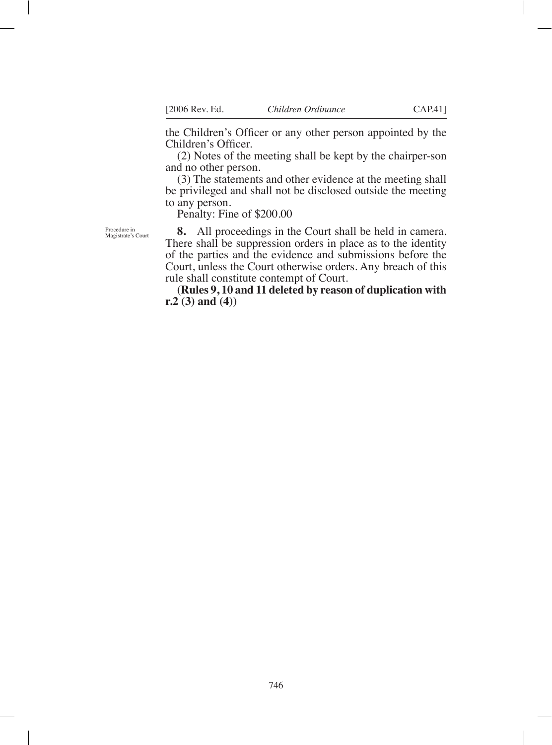the Children's Officer or any other person appointed by the Children's Officer.

(2) Notes of the meeting shall be kept by the chairper-son and no other person.

(3) The statements and other evidence at the meeting shall be privileged and shall not be disclosed outside the meeting to any person.

Penalty: Fine of \$200.00

**8.** All proceedings in the Court shall be held in camera. There shall be suppression orders in place as to the identity of the parties and the evidence and submissions before the Court, unless the Court otherwise orders. Any breach of this rule shall constitute contempt of Court.

**(Rules 9, 10 and 11 deleted by reason of duplication with r.2 (3) and (4))**

Procedure in Magistrate's Court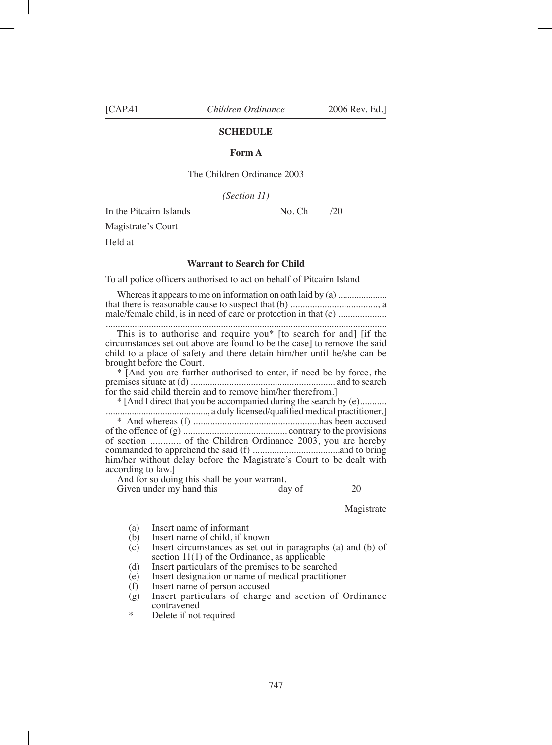#### **SCHEDULE**

### **Form A**

The Children Ordinance 2003

*(Section 11)*

In the Pitcairn Islands No. Ch  $/20$ 

Magistrate's Court

Held at

### **Warrant to Search for Child**

To all police officers authorised to act on behalf of Pitcairn Island

| Whereas it appears to me on information on oath laid by (a)<br>male/female child, is in need of care or protection in that (c)                                                                                           |
|--------------------------------------------------------------------------------------------------------------------------------------------------------------------------------------------------------------------------|
| This is to authorise and require you* [to search for and] [if the<br>circumstances set out above are found to be the case] to remove the said<br>child to a place of safety and there detain him/her until he/she can be |
| brought before the Court.<br>* [And you are further authorised to enter, if need be by force, the                                                                                                                        |
|                                                                                                                                                                                                                          |
| for the said child therein and to remove him/her therefrom.]                                                                                                                                                             |
| * [And I direct that you be accompanied during the search by (e)                                                                                                                                                         |
|                                                                                                                                                                                                                          |
|                                                                                                                                                                                                                          |
|                                                                                                                                                                                                                          |
| of section  of the Children Ordinance 2003, you are hereby                                                                                                                                                               |
|                                                                                                                                                                                                                          |
| him/her without delay before the Magistrate's Court to be dealt with                                                                                                                                                     |
| according to law.]                                                                                                                                                                                                       |
| And for so doing this shall be your warrant.                                                                                                                                                                             |

Given under my hand this day of 20

- (a) Insert name of informant<br>(b) Insert name of child, if kn
- Insert name of child, if known
- (c) Insert circumstances as set out in paragraphs (a) and (b) of section 11(1) of the Ordinance, as applicable
- 
- (d) Insert particulars of the premises to be searched<br>(e) Insert designation or name of medical practition  $\overrightarrow{e}$  Insert designation or name of medical practitioner (f) Insert name of person accused
- (f) Insert name of person accused<br>(g) Insert particulars of charge
- Insert particulars of charge and section of Ordinance contravened
- \* Delete if not required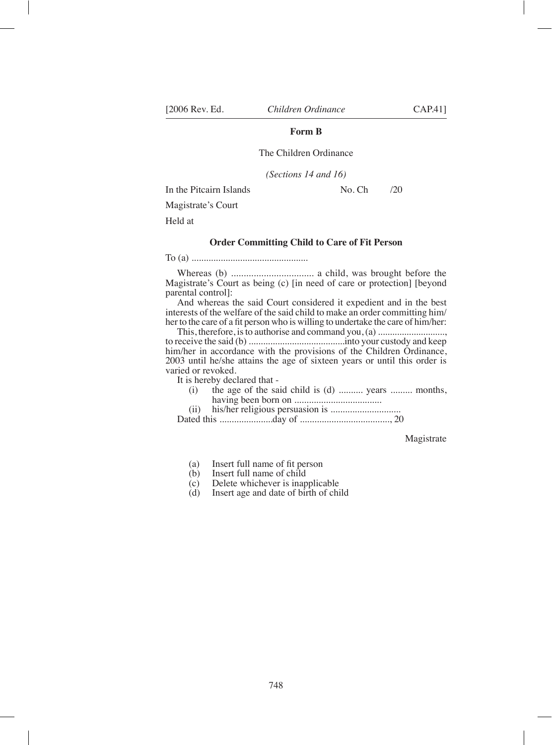#### **Form B**

#### The Children Ordinance

*(Sections 14 and 16)*

In the Pitcairn Islands No. Ch /20

Magistrate's Court

Held at

#### **Order Committing Child to Care of Fit Person**

To (a) ................................................

Whereas (b) ................................. a child, was brought before the Magistrate's Court as being (c) [in need of care or protection] [beyond parental control]:

And whereas the said Court considered it expedient and in the best interests of the welfare of the said child to make an order committing him/ her to the care of a fit person who is willing to undertake the care of him/her:

This, therefore, is to authorise and command you, (a) ........................... to receive the said (b) ........................................into your custody and keep him/her in accordance with the provisions of the Children Ordinance, 2003 until he/she attains the age of sixteen years or until this order is varied or revoked.

It is hereby declared that -<br>(i) the age of the sa

- the age of the said child is (d) .......... years ......... months, having been born on ....................................
- (ii) his/her religious persuasion is .............................

Dated this ......................day of ....................................., 20

- (a) let I have of fit person (b) Insert full name of child
- (b) Insert full name of child<br>(c) Delete whichever is inap
- (c) Delete whichever is inapplicable<br>(d) Insert age and date of birth of chi
- Insert age and date of birth of child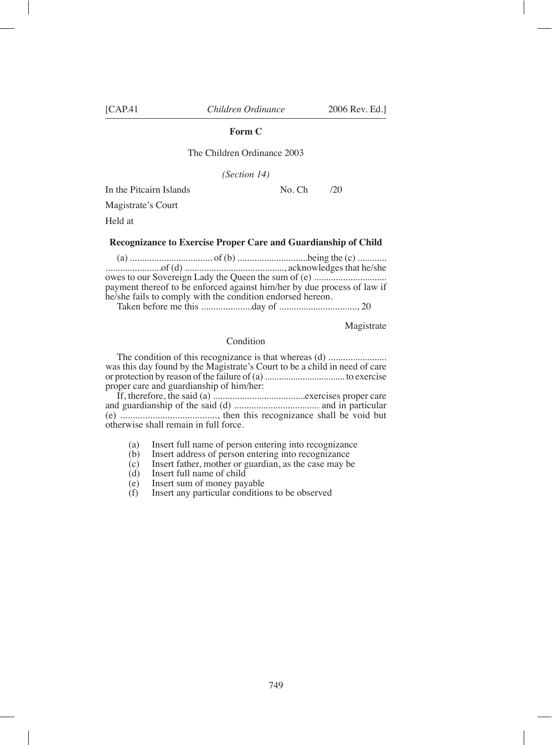#### **Form C**

#### The Children Ordinance 2003

#### *(Section 14)*

In the Pitcairn Islands No. Ch /20

Magistrate's Court

Held at

#### **Recognizance to Exercise Proper Care and Guardianship of Child**

(a) .................................. of (b) .............................being the (c) ............ .......................of (d) ........................................., acknowledges that he/she owes to our Sovereign Lady the Queen the sum of (e) .............................. payment thereof to be enforced against him/her by due process of law if he/she fails to comply with the condition endorsed hereon.

Taken before me this .....................day of ................................, 20

Magistrate

#### Condition

The condition of this recognizance is that whereas (d) .......................... was this day found by the Magistrate's Court to be a child in need of care or protection by reason of the failure of (a) .................................. to exercise proper care and guardianship of him/her:

If, therefore, the said (a) ......................................exercises proper care and guardianship of the said (d) ................................... and in particular (e) ......................................., then this recognizance shall be void but otherwise shall remain in full force.

- (a) Insert full name of person entering into recognizance<br>(b) Insert address of person entering into recognizance
	-
- (b) Insert address of person entering into recognizance<br>(c) Insert father, mother or guardian, as the case may be (c) Insert father, mother or guardian, as the case may be
- (d) Insert full name of child<br>(e) Insert sum of money pay
- (e) Insert sum of money payable<br>(f) Insert any particular condition
- Insert any particular conditions to be observed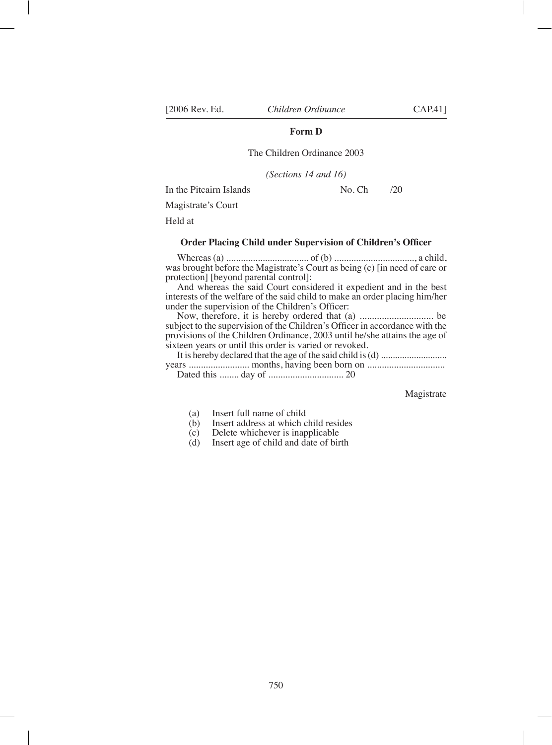#### **Form D**

The Children Ordinance 2003

*(Sections 14 and 16)*

In the Pitcairn Islands No. Ch /20

Magistrate's Court

Held at

#### **Order Placing Child under Supervision of Children's Officer**

Whereas (a) .................................. of (b) ................................., a child, was brought before the Magistrate's Court as being (c) [in need of care or protection] [beyond parental control]:

And whereas the said Court considered it expedient and in the best interests of the welfare of the said child to make an order placing him/her under the supervision of the Children's Officer:

Now, therefore, it is hereby ordered that (a) .............................. be subject to the supervision of the Children's Officer in accordance with the provisions of the Children Ordinance, 2003 until he/she attains the age of sixteen years or until this order is varied or revoked.

- (a) Insert full name of child<br>(b) Insert address at which c
- (b) Insert address at which child resides (c) Delete whichever is inapplicable
- (c) Delete whichever is inapplicable<br>(d) Insert age of child and date of bir
- Insert age of child and date of birth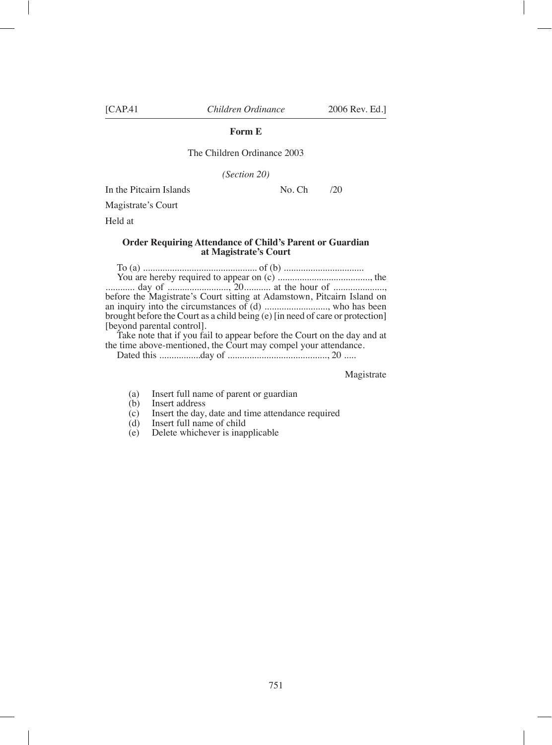#### **Form E**

### The Children Ordinance 2003

#### *(Section 20)*

In the Pitcairn Islands No. Ch /20

Magistrate's Court

Held at

#### **Order Requiring Attendance of Child's Parent or Guardian at Magistrate's Court**

To (a) ............................................... of (b) ................................. You are hereby required to appear on (c) ......................................, the ............ day of ........................., 20........... at the hour of ....................., before the Magistrate's Court sitting at Adamstown, Pitcairn Island on an inquiry into the circumstances of (d) .........................., who has been brought before the Court as a child being (e) [in need of care or protection] [beyond parental control].

Take note that if you fail to appear before the Court on the day and at the time above-mentioned, the Court may compel your attendance.

Dated this .................day of ........................................., 20 .....

- (a) Insert full name of parent or guardian<br>(b) Insert address
- Insert address
- (c) Insert the day, date and time attendance required
- (d) Insert full name of child<br>(e) Delete whichever is inap
- Delete whichever is inapplicable